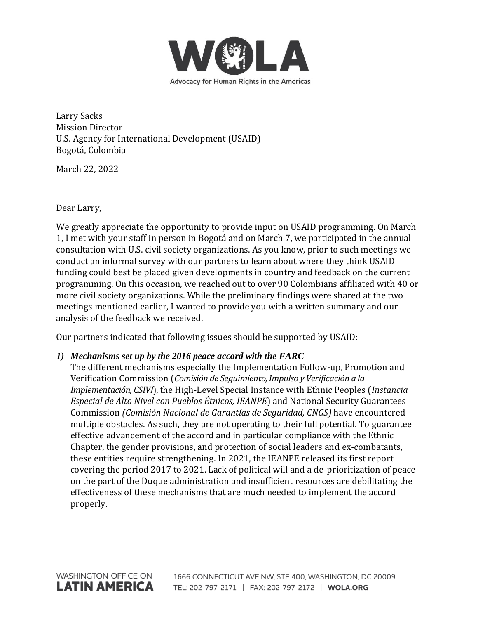

Larry Sacks Mission Director U.S. Agency for International Development (USAID) Bogotá, Colombia

March 22, 2022

Dear Larry,

We greatly appreciate the opportunity to provide input on USAID programming. On March 1, I met with your staff in person in Bogotá and on March 7, we participated in the annual consultation with U.S. civil society organizations. As you know, prior to such meetings we conduct an informal survey with our partners to learn about where they think USAID funding could best be placed given developments in country and feedback on the current programming. On this occasion, we reached out to over 90 Colombians affiliated with 40 or more civil society organizations. While the preliminary findings were shared at the two meetings mentioned earlier, I wanted to provide you with a written summary and our analysis of the feedback we received.

Our partners indicated that following issues should be supported by USAID:

## *1) Mechanisms set up by the 2016 peace accord with the FARC*

The different mechanisms especially the Implementation Follow-up, Promotion and Verification Commission (*Comisión de Seguimiento, Impulso y Verificación a la Implementación, CSIVI*), the High-Level Special Instance with Ethnic Peoples (*Instancia Especial de Alto Nivel con Pueblos Étnicos, IEANPE*) and National Security Guarantees Commission *(Comisión Nacional de Garantías de Seguridad, CNGS)* have encountered multiple obstacles. As such, they are not operating to their full potential. To guarantee effective advancement of the accord and in particular compliance with the Ethnic Chapter, the gender provisions, and protection of social leaders and ex-combatants, these entities require strengthening. In 2021, the IEANPE released its first report covering the period 2017 to 2021. Lack of political will and a de-prioritization of peace on the part of the Duque administration and insufficient resources are debilitating the effectiveness of these mechanisms that are much needed to implement the accord properly.

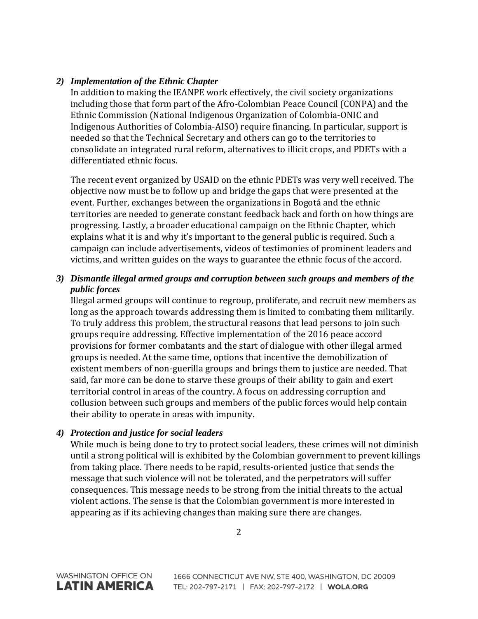# *2) Implementation of the Ethnic Chapter*

In addition to making the IEANPE work effectively, the civil society organizations including those that form part of the Afro-Colombian Peace Council (CONPA) and the Ethnic Commission (National Indigenous Organization of Colombia-ONIC and Indigenous Authorities of Colombia-AISO) require financing. In particular, support is needed so that the Technical Secretary and others can go to the territories to consolidate an integrated rural reform, alternatives to illicit crops, and PDETs with a differentiated ethnic focus.

The recent event organized by USAID on the ethnic PDETs was very well received. The objective now must be to follow up and bridge the gaps that were presented at the event. Further, exchanges between the organizations in Bogotá and the ethnic territories are needed to generate constant feedback back and forth on how things are progressing. Lastly, a broader educational campaign on the Ethnic Chapter, which explains what it is and why it's important to the general public is required. Such a campaign can include advertisements, videos of testimonies of prominent leaders and victims, and written guides on the ways to guarantee the ethnic focus of the accord.

# *3) Dismantle illegal armed groups and corruption between such groups and members of the public forces*

Illegal armed groups will continue to regroup, proliferate, and recruit new members as long as the approach towards addressing them is limited to combating them militarily. To truly address this problem, the structural reasons that lead persons to join such groups require addressing. Effective implementation of the 2016 peace accord provisions for former combatants and the start of dialogue with other illegal armed groups is needed. At the same time, options that incentive the demobilization of existent members of non-guerilla groups and brings them to justice are needed. That said, far more can be done to starve these groups of their ability to gain and exert territorial control in areas of the country. A focus on addressing corruption and collusion between such groups and members of the public forces would help contain their ability to operate in areas with impunity.

## *4) Protection and justice for social leaders*

While much is being done to try to protect social leaders, these crimes will not diminish until a strong political will is exhibited by the Colombian government to prevent killings from taking place. There needs to be rapid, results-oriented justice that sends the message that such violence will not be tolerated, and the perpetrators will suffer consequences. This message needs to be strong from the initial threats to the actual violent actions. The sense is that the Colombian government is more interested in appearing as if its achieving changes than making sure there are changes.

2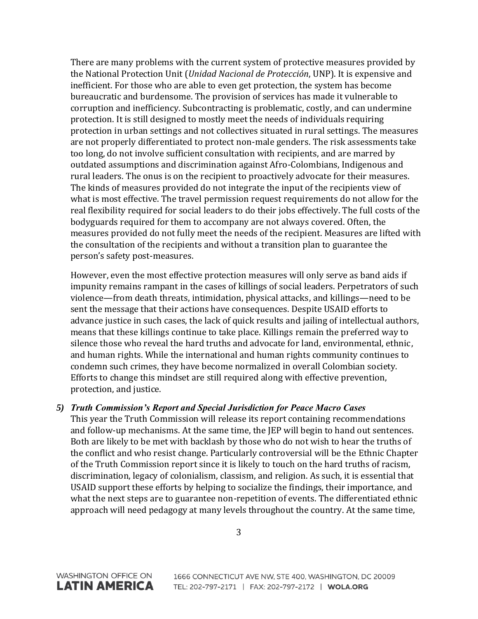There are many problems with the current system of protective measures provided by the National Protection Unit (*Unidad Nacional de Protección*, UNP). It is expensive and inefficient. For those who are able to even get protection, the system has become bureaucratic and burdensome. The provision of services has made it vulnerable to corruption and inefficiency. Subcontracting is problematic, costly, and can undermine protection. It is still designed to mostly meet the needs of individuals requiring protection in urban settings and not collectives situated in rural settings. The measures are not properly differentiated to protect non-male genders. The risk assessments take too long, do not involve sufficient consultation with recipients, and are marred by outdated assumptions and discrimination against Afro-Colombians, Indigenous and rural leaders. The onus is on the recipient to proactively advocate for their measures. The kinds of measures provided do not integrate the input of the recipients view of what is most effective. The travel permission request requirements do not allow for the real flexibility required for social leaders to do their jobs effectively. The full costs of the bodyguards required for them to accompany are not always covered. Often, the measures provided do not fully meet the needs of the recipient. Measures are lifted with the consultation of the recipients and without a transition plan to guarantee the person's safety post-measures.

However, even the most effective protection measures will only serve as band aids if impunity remains rampant in the cases of killings of social leaders. Perpetrators of such violence—from death threats, intimidation, physical attacks, and killings—need to be sent the message that their actions have consequences. Despite USAID efforts to advance justice in such cases, the lack of quick results and jailing of intellectual authors, means that these killings continue to take place. Killings remain the preferred way to silence those who reveal the hard truths and advocate for land, environmental, ethnic, and human rights. While the international and human rights community continues to condemn such crimes, they have become normalized in overall Colombian society. Efforts to change this mindset are still required along with effective prevention, protection, and justice.

## *5) Truth Commission's Report and Special Jurisdiction for Peace Macro Cases*

This year the Truth Commission will release its report containing recommendations and follow-up mechanisms. At the same time, the JEP will begin to hand out sentences. Both are likely to be met with backlash by those who do not wish to hear the truths of the conflict and who resist change. Particularly controversial will be the Ethnic Chapter of the Truth Commission report since it is likely to touch on the hard truths of racism, discrimination, legacy of colonialism, classism, and religion. As such, it is essential that USAID support these efforts by helping to socialize the findings, their importance, and what the next steps are to guarantee non-repetition of events. The differentiated ethnic approach will need pedagogy at many levels throughout the country. At the same time,

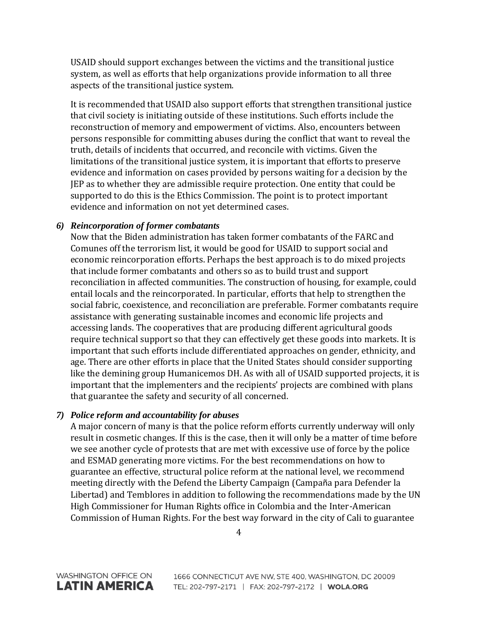USAID should support exchanges between the victims and the transitional justice system, as well as efforts that help organizations provide information to all three aspects of the transitional justice system.

It is recommended that USAID also support efforts that strengthen transitional justice that civil society is initiating outside of these institutions. Such efforts include the reconstruction of memory and empowerment of victims. Also, encounters between persons responsible for committing abuses during the conflict that want to reveal the truth, details of incidents that occurred, and reconcile with victims. Given the limitations of the transitional justice system, it is important that efforts to preserve evidence and information on cases provided by persons waiting for a decision by the JEP as to whether they are admissible require protection. One entity that could be supported to do this is the Ethics Commission. The point is to protect important evidence and information on not yet determined cases.

#### *6) Reincorporation of former combatants*

Now that the Biden administration has taken former combatants of the FARC and Comunes off the terrorism list, it would be good for USAID to support social and economic reincorporation efforts. Perhaps the best approach is to do mixed projects that include former combatants and others so as to build trust and support reconciliation in affected communities. The construction of housing, for example, could entail locals and the reincorporated. In particular, efforts that help to strengthen the social fabric, coexistence, and reconciliation are preferable. Former combatants require assistance with generating sustainable incomes and economic life projects and accessing lands. The cooperatives that are producing different agricultural goods require technical support so that they can effectively get these goods into markets. It is important that such efforts include differentiated approaches on gender, ethnicity, and age. There are other efforts in place that the United States should consider supporting like the demining group Humanicemos DH. As with all of USAID supported projects, it is important that the implementers and the recipients' projects are combined with plans that guarantee the safety and security of all concerned.

#### *7) Police reform and accountability for abuses*

A major concern of many is that the police reform efforts currently underway will only result in cosmetic changes. If this is the case, then it will only be a matter of time before we see another cycle of protests that are met with excessive use of force by the police and ESMAD generating more victims. For the best recommendations on how to guarantee an effective, structural police reform at the national level, we recommend meeting directly with the Defend the Liberty Campaign (Campaña para Defender la Libertad) and Temblores in addition to following the recommendations made by the UN High Commissioner for Human Rights office in Colombia and the Inter-American Commission of Human Rights. For the best way forward in the city of Cali to guarantee

4

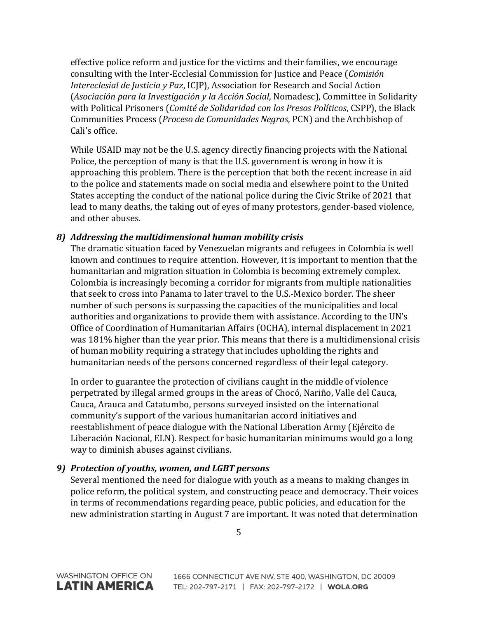effective police reform and justice for the victims and their families, we encourage consulting with the Inter-Ecclesial Commission for Justice and Peace (*Comisión Intereclesial de Justicia y Paz*, ICJP), Association for Research and Social Action (*Asociación para la Investigación y la Acción Social*, Nomadesc), Committee in Solidarity with Political Prisoners (*Comité de Solidaridad con los Presos Políticos*, CSPP), the Black Communities Process (*Proceso de Comunidades Negras*, PCN) and the Archbishop of Cali's office.

While USAID may not be the U.S. agency directly financing projects with the National Police, the perception of many is that the U.S. government is wrong in how it is approaching this problem. There is the perception that both the recent increase in aid to the police and statements made on social media and elsewhere point to the United States accepting the conduct of the national police during the Civic Strike of 2021 that lead to many deaths, the taking out of eyes of many protestors, gender-based violence, and other abuses.

#### *8) Addressing the multidimensional human mobility crisis*

The dramatic situation faced by Venezuelan migrants and refugees in Colombia is well known and continues to require attention. However, it is important to mention that the humanitarian and migration situation in Colombia is becoming extremely complex. Colombia is increasingly becoming a corridor for migrants from multiple nationalities that seek to cross into Panama to later travel to the U.S.-Mexico border. The sheer number of such persons is surpassing the capacities of the municipalities and local authorities and organizations to provide them with assistance. According to the UN's Office of Coordination of Humanitarian Affairs (OCHA), internal displacement in 2021 was 181% higher than the year prior. This means that there is a multidimensional crisis of human mobility requiring a strategy that includes upholding the rights and humanitarian needs of the persons concerned regardless of their legal category.

In order to guarantee the protection of civilians caught in the middle of violence perpetrated by illegal armed groups in the areas of Chocó, Nariño, Valle del Cauca, Cauca, Arauca and Catatumbo, persons surveyed insisted on the international community's support of the various humanitarian accord initiatives and reestablishment of peace dialogue with the National Liberation Army (Ejército de Liberación Nacional, ELN). Respect for basic humanitarian minimums would go a long way to diminish abuses against civilians.

## *9) Protection of youths, women, and LGBT persons*

Several mentioned the need for dialogue with youth as a means to making changes in police reform, the political system, and constructing peace and democracy. Their voices in terms of recommendations regarding peace, public policies, and education for the new administration starting in August 7 are important. It was noted that determination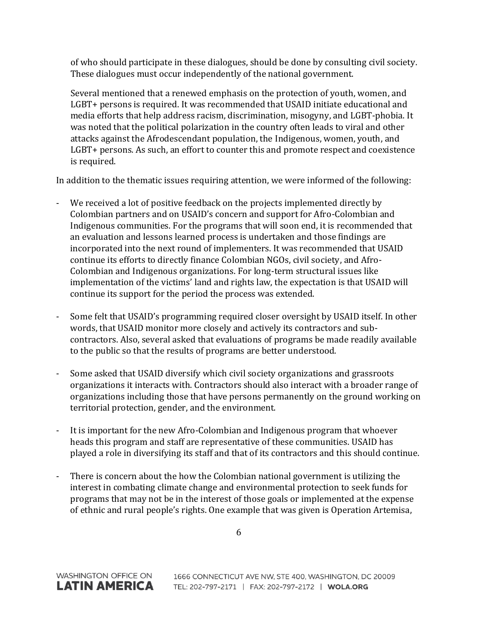of who should participate in these dialogues, should be done by consulting civil society. These dialogues must occur independently of the national government.

Several mentioned that a renewed emphasis on the protection of youth, women, and LGBT+ persons is required. It was recommended that USAID initiate educational and media efforts that help address racism, discrimination, misogyny, and LGBT-phobia. It was noted that the political polarization in the country often leads to viral and other attacks against the Afrodescendant population, the Indigenous, women, youth, and LGBT+ persons. As such, an effort to counter this and promote respect and coexistence is required.

In addition to the thematic issues requiring attention, we were informed of the following:

- We received a lot of positive feedback on the projects implemented directly by Colombian partners and on USAID's concern and support for Afro-Colombian and Indigenous communities. For the programs that will soon end, it is recommended that an evaluation and lessons learned process is undertaken and those findings are incorporated into the next round of implementers. It was recommended that USAID continue its efforts to directly finance Colombian NGOs, civil society, and Afro-Colombian and Indigenous organizations. For long-term structural issues like implementation of the victims' land and rights law, the expectation is that USAID will continue its support for the period the process was extended.
- Some felt that USAID's programming required closer oversight by USAID itself. In other words, that USAID monitor more closely and actively its contractors and subcontractors. Also, several asked that evaluations of programs be made readily available to the public so that the results of programs are better understood.
- Some asked that USAID diversify which civil society organizations and grassroots organizations it interacts with. Contractors should also interact with a broader range of organizations including those that have persons permanently on the ground working on territorial protection, gender, and the environment.
- It is important for the new Afro-Colombian and Indigenous program that whoever heads this program and staff are representative of these communities. USAID has played a role in diversifying its staff and that of its contractors and this should continue.
- There is concern about the how the Colombian national government is utilizing the interest in combating climate change and environmental protection to seek funds for programs that may not be in the interest of those goals or implemented at the expense of ethnic and rural people's rights. One example that was given is Operation Artemisa,

**WASHINGTON OFFICE ON** 

**LATIN AMERICA**